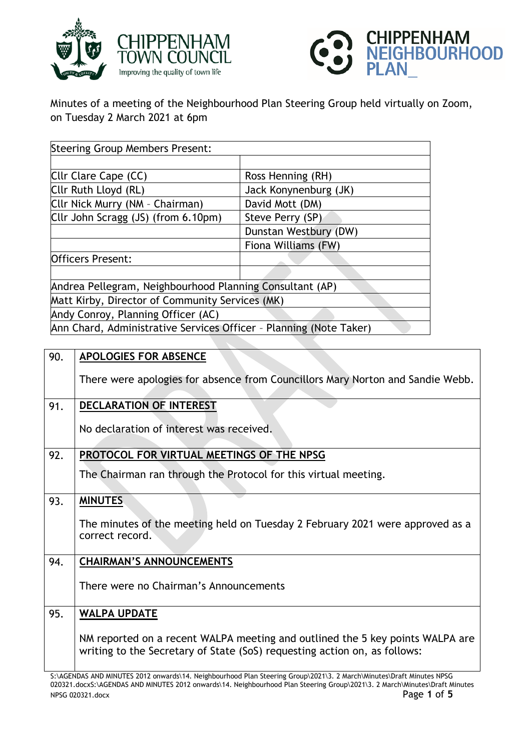



Minutes of a meeting of the Neighbourhood Plan Steering Group held virtually on Zoom, on Tuesday 2 March 2021 at 6pm

| <b>Steering Group Members Present:</b>                             |                       |  |
|--------------------------------------------------------------------|-----------------------|--|
|                                                                    |                       |  |
| Cllr Clare Cape (CC)                                               | Ross Henning (RH)     |  |
| Cllr Ruth Lloyd (RL)                                               | Jack Konynenburg (JK) |  |
| Cllr Nick Murry (NM - Chairman)                                    | David Mott (DM)       |  |
| Cllr John Scragg (JS) (from 6.10pm)                                | Steve Perry (SP)      |  |
|                                                                    | Dunstan Westbury (DW) |  |
|                                                                    | Fiona Williams (FW)   |  |
| <b>Officers Present:</b>                                           |                       |  |
|                                                                    |                       |  |
| Andrea Pellegram, Neighbourhood Planning Consultant (AP)           |                       |  |
| Matt Kirby, Director of Community Services (MK)                    |                       |  |
| Andy Conroy, Planning Officer (AC)                                 |                       |  |
| Ann Chard, Administrative Services Officer - Planning (Note Taker) |                       |  |

| 90. | <b>APOLOGIES FOR ABSENCE</b>                                                                                                                                                                                                                                                           |
|-----|----------------------------------------------------------------------------------------------------------------------------------------------------------------------------------------------------------------------------------------------------------------------------------------|
|     | There were apologies for absence from Councillors Mary Norton and Sandie Webb.                                                                                                                                                                                                         |
| 91. | <b>DECLARATION OF INTEREST</b>                                                                                                                                                                                                                                                         |
|     | No declaration of interest was received.                                                                                                                                                                                                                                               |
| 92. | PROTOCOL FOR VIRTUAL MEETINGS OF THE NPSG                                                                                                                                                                                                                                              |
|     | The Chairman ran through the Protocol for this virtual meeting.                                                                                                                                                                                                                        |
| 93. | <b>MINUTES</b>                                                                                                                                                                                                                                                                         |
|     | The minutes of the meeting held on Tuesday 2 February 2021 were approved as a<br>correct record.                                                                                                                                                                                       |
| 94. | <b>CHAIRMAN'S ANNOUNCEMENTS</b>                                                                                                                                                                                                                                                        |
|     | There were no Chairman's Announcements                                                                                                                                                                                                                                                 |
| 95. | <b>WALPA UPDATE</b>                                                                                                                                                                                                                                                                    |
|     | NM reported on a recent WALPA meeting and outlined the 5 key points WALPA are<br>writing to the Secretary of State (SoS) requesting action on, as follows:<br>C. LOENDLC, AND HINHEEC 2012, any card of Alainha cuband Dian Changes Count 2024 2, 2 Handel Hinghard Duaft Hingham NDCC |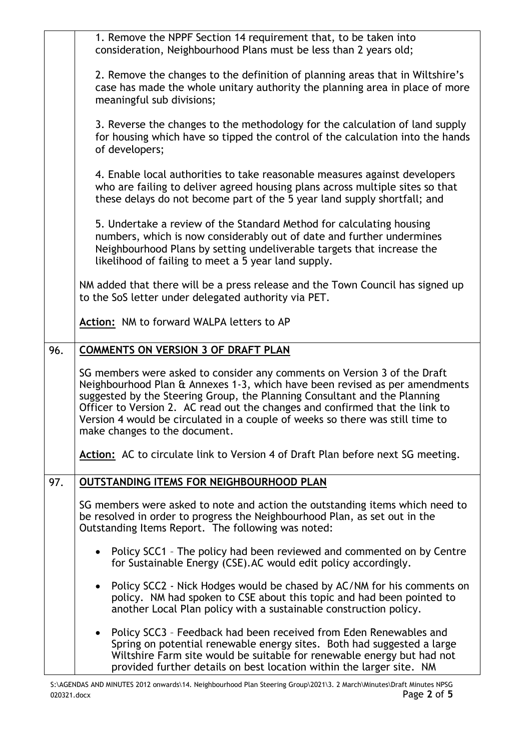|     | 1. Remove the NPPF Section 14 requirement that, to be taken into<br>consideration, Neighbourhood Plans must be less than 2 years old;                                                                                                                                                                                                                                                                                                  |
|-----|----------------------------------------------------------------------------------------------------------------------------------------------------------------------------------------------------------------------------------------------------------------------------------------------------------------------------------------------------------------------------------------------------------------------------------------|
|     | 2. Remove the changes to the definition of planning areas that in Wiltshire's<br>case has made the whole unitary authority the planning area in place of more<br>meaningful sub divisions;                                                                                                                                                                                                                                             |
|     | 3. Reverse the changes to the methodology for the calculation of land supply<br>for housing which have so tipped the control of the calculation into the hands<br>of developers;                                                                                                                                                                                                                                                       |
|     | 4. Enable local authorities to take reasonable measures against developers<br>who are failing to deliver agreed housing plans across multiple sites so that<br>these delays do not become part of the 5 year land supply shortfall; and                                                                                                                                                                                                |
|     | 5. Undertake a review of the Standard Method for calculating housing<br>numbers, which is now considerably out of date and further undermines<br>Neighbourhood Plans by setting undeliverable targets that increase the<br>likelihood of failing to meet a 5 year land supply.                                                                                                                                                         |
|     | NM added that there will be a press release and the Town Council has signed up<br>to the SoS letter under delegated authority via PET.                                                                                                                                                                                                                                                                                                 |
|     | Action: NM to forward WALPA letters to AP                                                                                                                                                                                                                                                                                                                                                                                              |
| 96. | <b>COMMENTS ON VERSION 3 OF DRAFT PLAN</b>                                                                                                                                                                                                                                                                                                                                                                                             |
|     | SG members were asked to consider any comments on Version 3 of the Draft<br>Neighbourhood Plan & Annexes 1-3, which have been revised as per amendments<br>suggested by the Steering Group, the Planning Consultant and the Planning<br>Officer to Version 2. AC read out the changes and confirmed that the link to<br>Version 4 would be circulated in a couple of weeks so there was still time to<br>make changes to the document. |
|     | Action: AC to circulate link to Version 4 of Draft Plan before next SG meeting.                                                                                                                                                                                                                                                                                                                                                        |
| 97. | <b>OUTSTANDING ITEMS FOR NEIGHBOURHOOD PLAN</b>                                                                                                                                                                                                                                                                                                                                                                                        |
|     | SG members were asked to note and action the outstanding items which need to<br>be resolved in order to progress the Neighbourhood Plan, as set out in the<br>Outstanding Items Report. The following was noted:                                                                                                                                                                                                                       |
|     | Policy SCC1 - The policy had been reviewed and commented on by Centre<br>for Sustainable Energy (CSE). AC would edit policy accordingly.                                                                                                                                                                                                                                                                                               |
|     | Policy SCC2 - Nick Hodges would be chased by AC/NM for his comments on<br>policy. NM had spoken to CSE about this topic and had been pointed to<br>another Local Plan policy with a sustainable construction policy.                                                                                                                                                                                                                   |
|     | Policy SCC3 - Feedback had been received from Eden Renewables and<br>Spring on potential renewable energy sites. Both had suggested a large<br>Wiltshire Farm site would be suitable for renewable energy but had not<br>provided further details on best location within the larger site. NM                                                                                                                                          |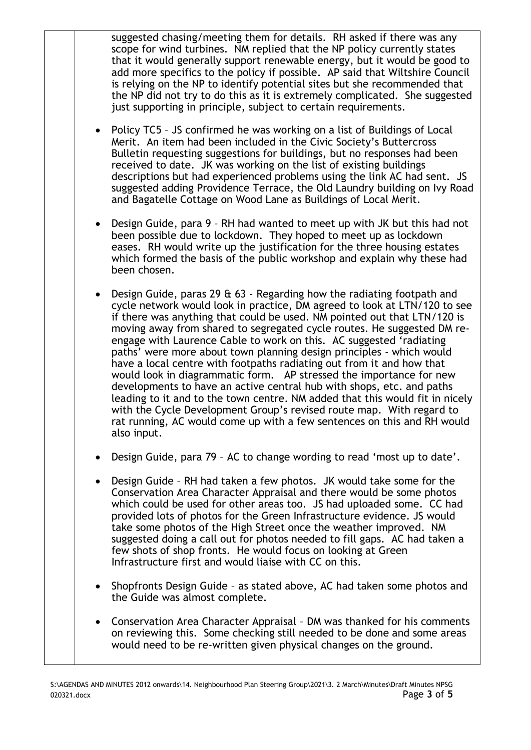suggested chasing/meeting them for details. RH asked if there was any scope for wind turbines. NM replied that the NP policy currently states that it would generally support renewable energy, but it would be good to add more specifics to the policy if possible. AP said that Wiltshire Council is relying on the NP to identify potential sites but she recommended that the NP did not try to do this as it is extremely complicated. She suggested just supporting in principle, subject to certain requirements.

- Policy TC5 JS confirmed he was working on a list of Buildings of Local Merit. An item had been included in the Civic Society's Buttercross Bulletin requesting suggestions for buildings, but no responses had been received to date. JK was working on the list of existing buildings descriptions but had experienced problems using the link AC had sent. JS suggested adding Providence Terrace, the Old Laundry building on Ivy Road and Bagatelle Cottage on Wood Lane as Buildings of Local Merit.
- Design Guide, para 9 RH had wanted to meet up with JK but this had not been possible due to lockdown. They hoped to meet up as lockdown eases. RH would write up the justification for the three housing estates which formed the basis of the public workshop and explain why these had been chosen.
- Design Guide, paras 29 & 63 Regarding how the radiating footpath and cycle network would look in practice, DM agreed to look at LTN/120 to see if there was anything that could be used. NM pointed out that LTN/120 is moving away from shared to segregated cycle routes. He suggested DM reengage with Laurence Cable to work on this. AC suggested 'radiating paths' were more about town planning design principles - which would have a local centre with footpaths radiating out from it and how that would look in diagrammatic form. AP stressed the importance for new developments to have an active central hub with shops, etc. and paths leading to it and to the town centre. NM added that this would fit in nicely with the Cycle Development Group's revised route map. With regard to rat running, AC would come up with a few sentences on this and RH would also input.
- Design Guide, para 79 AC to change wording to read 'most up to date'.
- Design Guide RH had taken a few photos. JK would take some for the Conservation Area Character Appraisal and there would be some photos which could be used for other areas too. JS had uploaded some. CC had provided lots of photos for the Green Infrastructure evidence. JS would take some photos of the High Street once the weather improved. NM suggested doing a call out for photos needed to fill gaps. AC had taken a few shots of shop fronts. He would focus on looking at Green Infrastructure first and would liaise with CC on this.
- Shopfronts Design Guide as stated above, AC had taken some photos and the Guide was almost complete.
- Conservation Area Character Appraisal DM was thanked for his comments on reviewing this. Some checking still needed to be done and some areas would need to be re-written given physical changes on the ground.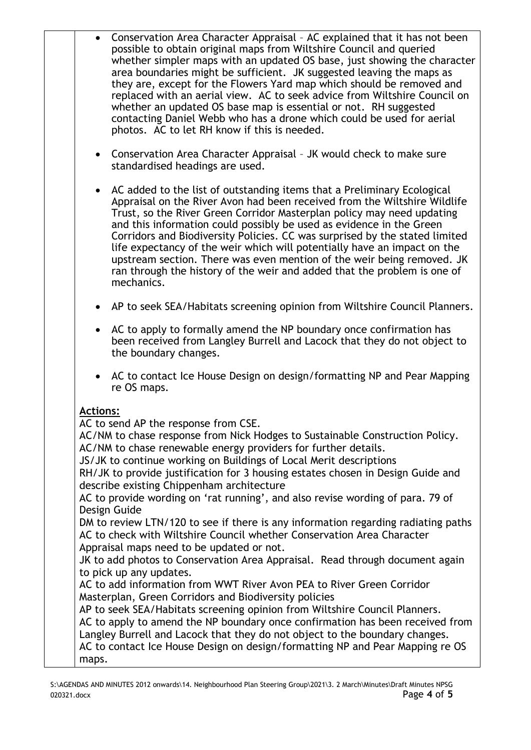- Conservation Area Character Appraisal AC explained that it has not been possible to obtain original maps from Wiltshire Council and queried whether simpler maps with an updated OS base, just showing the character area boundaries might be sufficient. JK suggested leaving the maps as they are, except for the Flowers Yard map which should be removed and replaced with an aerial view. AC to seek advice from Wiltshire Council on whether an updated OS base map is essential or not. RH suggested contacting Daniel Webb who has a drone which could be used for aerial photos. AC to let RH know if this is needed.
- Conservation Area Character Appraisal JK would check to make sure standardised headings are used.
- AC added to the list of outstanding items that a Preliminary Ecological Appraisal on the River Avon had been received from the Wiltshire Wildlife Trust, so the River Green Corridor Masterplan policy may need updating and this information could possibly be used as evidence in the Green Corridors and Biodiversity Policies. CC was surprised by the stated limited life expectancy of the weir which will potentially have an impact on the upstream section. There was even mention of the weir being removed. JK ran through the history of the weir and added that the problem is one of mechanics.
- AP to seek SEA/Habitats screening opinion from Wiltshire Council Planners.
- AC to apply to formally amend the NP boundary once confirmation has been received from Langley Burrell and Lacock that they do not object to the boundary changes.
- AC to contact Ice House Design on design/formatting NP and Pear Mapping re OS maps.

## **Actions:**

AC to send AP the response from CSE.

AC/NM to chase response from Nick Hodges to Sustainable Construction Policy. AC/NM to chase renewable energy providers for further details.

JS/JK to continue working on Buildings of Local Merit descriptions

RH/JK to provide justification for 3 housing estates chosen in Design Guide and describe existing Chippenham architecture

AC to provide wording on 'rat running', and also revise wording of para. 79 of Design Guide

DM to review LTN/120 to see if there is any information regarding radiating paths AC to check with Wiltshire Council whether Conservation Area Character Appraisal maps need to be updated or not.

JK to add photos to Conservation Area Appraisal. Read through document again to pick up any updates.

AC to add information from WWT River Avon PEA to River Green Corridor Masterplan, Green Corridors and Biodiversity policies

AP to seek SEA/Habitats screening opinion from Wiltshire Council Planners. AC to apply to amend the NP boundary once confirmation has been received from Langley Burrell and Lacock that they do not object to the boundary changes. AC to contact Ice House Design on design/formatting NP and Pear Mapping re OS maps.